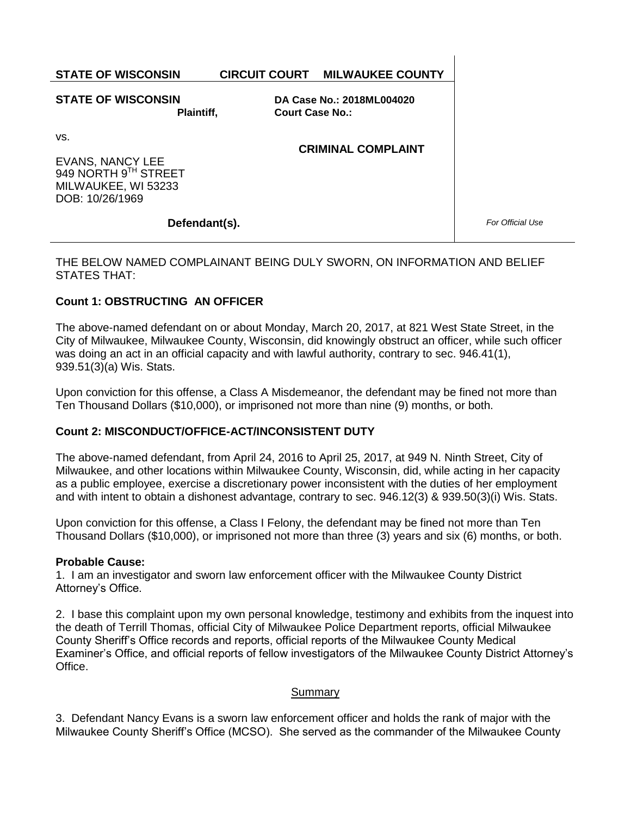**STATE OF WISCONSIN CIRCUIT COURT MILWAUKEE COUNTY**

**STATE OF WISCONSIN Plaintiff,** **DA Case No.: 2018ML004020 Court Case No.:** 

**CRIMINAL COMPLAINT**

vs.

EVANS, NANCY LEE 949 NORTH 9TH STREET MILWAUKEE, WI 53233 DOB: 10/26/1969

## **Defendant(s).**

*For Official Use*

THE BELOW NAMED COMPLAINANT BEING DULY SWORN, ON INFORMATION AND BELIEF STATES THAT:

## **Count 1: OBSTRUCTING AN OFFICER**

The above-named defendant on or about Monday, March 20, 2017, at 821 West State Street, in the City of Milwaukee, Milwaukee County, Wisconsin, did knowingly obstruct an officer, while such officer was doing an act in an official capacity and with lawful authority, contrary to sec. 946.41(1), 939.51(3)(a) Wis. Stats.

Upon conviction for this offense, a Class A Misdemeanor, the defendant may be fined not more than Ten Thousand Dollars (\$10,000), or imprisoned not more than nine (9) months, or both.

### **Count 2: MISCONDUCT/OFFICE-ACT/INCONSISTENT DUTY**

The above-named defendant, from April 24, 2016 to April 25, 2017, at 949 N. Ninth Street, City of Milwaukee, and other locations within Milwaukee County, Wisconsin, did, while acting in her capacity as a public employee, exercise a discretionary power inconsistent with the duties of her employment and with intent to obtain a dishonest advantage, contrary to sec. 946.12(3) & 939.50(3)(i) Wis. Stats.

Upon conviction for this offense, a Class I Felony, the defendant may be fined not more than Ten Thousand Dollars (\$10,000), or imprisoned not more than three (3) years and six (6) months, or both.

### **Probable Cause:**

1. I am an investigator and sworn law enforcement officer with the Milwaukee County District Attorney's Office.

2. I base this complaint upon my own personal knowledge, testimony and exhibits from the inquest into the death of Terrill Thomas, official City of Milwaukee Police Department reports, official Milwaukee County Sheriff's Office records and reports, official reports of the Milwaukee County Medical Examiner's Office, and official reports of fellow investigators of the Milwaukee County District Attorney's Office.

### **Summary**

3. Defendant Nancy Evans is a sworn law enforcement officer and holds the rank of major with the Milwaukee County Sheriff's Office (MCSO). She served as the commander of the Milwaukee County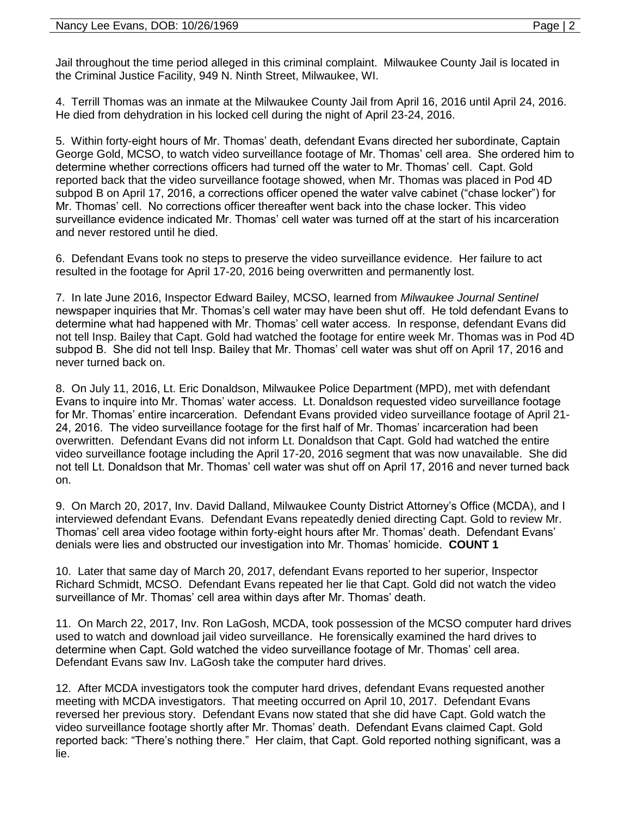Jail throughout the time period alleged in this criminal complaint. Milwaukee County Jail is located in the Criminal Justice Facility, 949 N. Ninth Street, Milwaukee, WI.

4. Terrill Thomas was an inmate at the Milwaukee County Jail from April 16, 2016 until April 24, 2016. He died from dehydration in his locked cell during the night of April 23-24, 2016.

5. Within forty-eight hours of Mr. Thomas' death, defendant Evans directed her subordinate, Captain George Gold, MCSO, to watch video surveillance footage of Mr. Thomas' cell area. She ordered him to determine whether corrections officers had turned off the water to Mr. Thomas' cell. Capt. Gold reported back that the video surveillance footage showed, when Mr. Thomas was placed in Pod 4D subpod B on April 17, 2016, a corrections officer opened the water valve cabinet ("chase locker") for Mr. Thomas' cell. No corrections officer thereafter went back into the chase locker. This video surveillance evidence indicated Mr. Thomas' cell water was turned off at the start of his incarceration and never restored until he died.

6. Defendant Evans took no steps to preserve the video surveillance evidence. Her failure to act resulted in the footage for April 17-20, 2016 being overwritten and permanently lost.

7. In late June 2016, Inspector Edward Bailey, MCSO, learned from *Milwaukee Journal Sentinel*  newspaper inquiries that Mr. Thomas's cell water may have been shut off. He told defendant Evans to determine what had happened with Mr. Thomas' cell water access. In response, defendant Evans did not tell Insp. Bailey that Capt. Gold had watched the footage for entire week Mr. Thomas was in Pod 4D subpod B. She did not tell Insp. Bailey that Mr. Thomas' cell water was shut off on April 17, 2016 and never turned back on.

8. On July 11, 2016, Lt. Eric Donaldson, Milwaukee Police Department (MPD), met with defendant Evans to inquire into Mr. Thomas' water access. Lt. Donaldson requested video surveillance footage for Mr. Thomas' entire incarceration. Defendant Evans provided video surveillance footage of April 21- 24, 2016. The video surveillance footage for the first half of Mr. Thomas' incarceration had been overwritten. Defendant Evans did not inform Lt. Donaldson that Capt. Gold had watched the entire video surveillance footage including the April 17-20, 2016 segment that was now unavailable. She did not tell Lt. Donaldson that Mr. Thomas' cell water was shut off on April 17, 2016 and never turned back on.

9. On March 20, 2017, Inv. David Dalland, Milwaukee County District Attorney's Office (MCDA), and I interviewed defendant Evans. Defendant Evans repeatedly denied directing Capt. Gold to review Mr. Thomas' cell area video footage within forty-eight hours after Mr. Thomas' death. Defendant Evans' denials were lies and obstructed our investigation into Mr. Thomas' homicide. **COUNT 1**

10. Later that same day of March 20, 2017, defendant Evans reported to her superior, Inspector Richard Schmidt, MCSO. Defendant Evans repeated her lie that Capt. Gold did not watch the video surveillance of Mr. Thomas' cell area within days after Mr. Thomas' death.

11. On March 22, 2017, Inv. Ron LaGosh, MCDA, took possession of the MCSO computer hard drives used to watch and download jail video surveillance. He forensically examined the hard drives to determine when Capt. Gold watched the video surveillance footage of Mr. Thomas' cell area. Defendant Evans saw Inv. LaGosh take the computer hard drives.

12. After MCDA investigators took the computer hard drives, defendant Evans requested another meeting with MCDA investigators. That meeting occurred on April 10, 2017. Defendant Evans reversed her previous story. Defendant Evans now stated that she did have Capt. Gold watch the video surveillance footage shortly after Mr. Thomas' death. Defendant Evans claimed Capt. Gold reported back: "There's nothing there." Her claim, that Capt. Gold reported nothing significant, was a lie.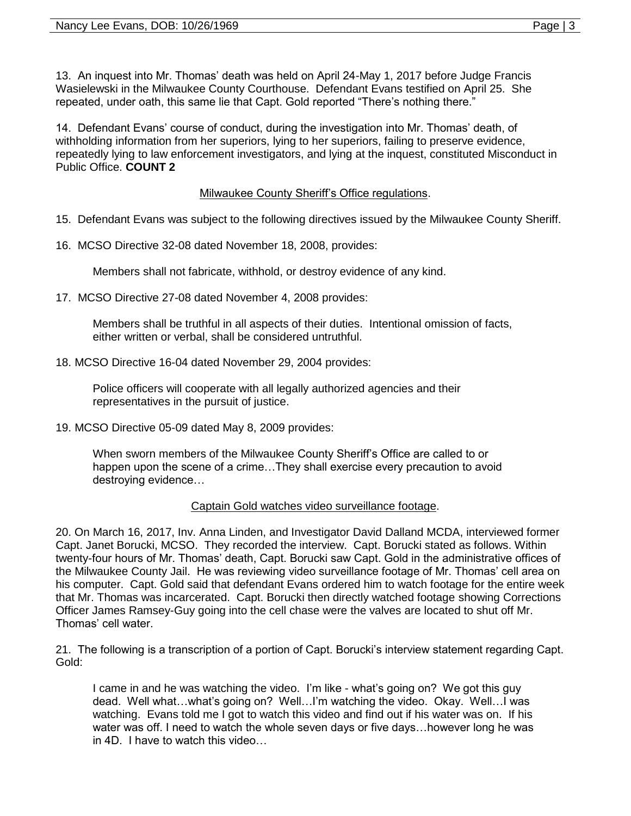13. An inquest into Mr. Thomas' death was held on April 24-May 1, 2017 before Judge Francis Wasielewski in the Milwaukee County Courthouse. Defendant Evans testified on April 25. She repeated, under oath, this same lie that Capt. Gold reported "There's nothing there."

14. Defendant Evans' course of conduct, during the investigation into Mr. Thomas' death, of withholding information from her superiors, lying to her superiors, failing to preserve evidence, repeatedly lying to law enforcement investigators, and lying at the inquest, constituted Misconduct in Public Office. **COUNT 2**

### Milwaukee County Sheriff's Office regulations.

- 15. Defendant Evans was subject to the following directives issued by the Milwaukee County Sheriff.
- 16. MCSO Directive 32-08 dated November 18, 2008, provides:

Members shall not fabricate, withhold, or destroy evidence of any kind.

17. MCSO Directive 27-08 dated November 4, 2008 provides:

Members shall be truthful in all aspects of their duties. Intentional omission of facts, either written or verbal, shall be considered untruthful.

18. MCSO Directive 16-04 dated November 29, 2004 provides:

Police officers will cooperate with all legally authorized agencies and their representatives in the pursuit of justice.

19. MCSO Directive 05-09 dated May 8, 2009 provides:

When sworn members of the Milwaukee County Sheriff's Office are called to or happen upon the scene of a crime…They shall exercise every precaution to avoid destroying evidence…

## Captain Gold watches video surveillance footage.

20. On March 16, 2017, Inv. Anna Linden, and Investigator David Dalland MCDA, interviewed former Capt. Janet Borucki, MCSO. They recorded the interview. Capt. Borucki stated as follows. Within twenty-four hours of Mr. Thomas' death, Capt. Borucki saw Capt. Gold in the administrative offices of the Milwaukee County Jail. He was reviewing video surveillance footage of Mr. Thomas' cell area on his computer. Capt. Gold said that defendant Evans ordered him to watch footage for the entire week that Mr. Thomas was incarcerated. Capt. Borucki then directly watched footage showing Corrections Officer James Ramsey-Guy going into the cell chase were the valves are located to shut off Mr. Thomas' cell water.

21. The following is a transcription of a portion of Capt. Borucki's interview statement regarding Capt. Gold:

I came in and he was watching the video. I'm like - what's going on? We got this guy dead. Well what…what's going on? Well…I'm watching the video. Okay. Well…I was watching. Evans told me I got to watch this video and find out if his water was on. If his water was off. I need to watch the whole seven days or five days…however long he was in 4D. I have to watch this video…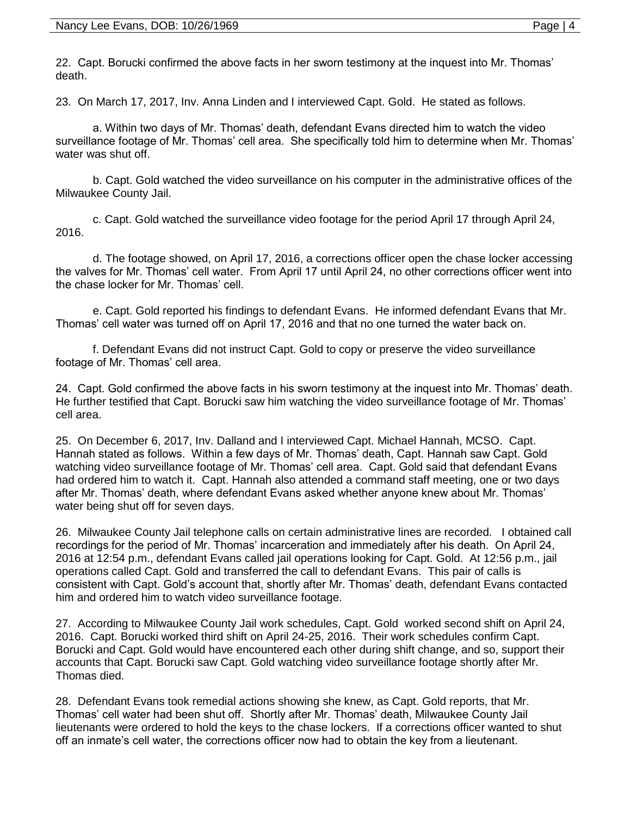22. Capt. Borucki confirmed the above facts in her sworn testimony at the inquest into Mr. Thomas' death.

23. On March 17, 2017, Inv. Anna Linden and I interviewed Capt. Gold. He stated as follows.

a. Within two days of Mr. Thomas' death, defendant Evans directed him to watch the video surveillance footage of Mr. Thomas' cell area. She specifically told him to determine when Mr. Thomas' water was shut off.

b. Capt. Gold watched the video surveillance on his computer in the administrative offices of the Milwaukee County Jail.

c. Capt. Gold watched the surveillance video footage for the period April 17 through April 24, 2016.

d. The footage showed, on April 17, 2016, a corrections officer open the chase locker accessing the valves for Mr. Thomas' cell water. From April 17 until April 24, no other corrections officer went into the chase locker for Mr. Thomas' cell.

e. Capt. Gold reported his findings to defendant Evans. He informed defendant Evans that Mr. Thomas' cell water was turned off on April 17, 2016 and that no one turned the water back on.

f. Defendant Evans did not instruct Capt. Gold to copy or preserve the video surveillance footage of Mr. Thomas' cell area.

24. Capt. Gold confirmed the above facts in his sworn testimony at the inquest into Mr. Thomas' death. He further testified that Capt. Borucki saw him watching the video surveillance footage of Mr. Thomas' cell area.

25. On December 6, 2017, Inv. Dalland and I interviewed Capt. Michael Hannah, MCSO. Capt. Hannah stated as follows. Within a few days of Mr. Thomas' death, Capt. Hannah saw Capt. Gold watching video surveillance footage of Mr. Thomas' cell area. Capt. Gold said that defendant Evans had ordered him to watch it. Capt. Hannah also attended a command staff meeting, one or two days after Mr. Thomas' death, where defendant Evans asked whether anyone knew about Mr. Thomas' water being shut off for seven days.

26. Milwaukee County Jail telephone calls on certain administrative lines are recorded. I obtained call recordings for the period of Mr. Thomas' incarceration and immediately after his death. On April 24, 2016 at 12:54 p.m., defendant Evans called jail operations looking for Capt. Gold. At 12:56 p.m., jail operations called Capt. Gold and transferred the call to defendant Evans. This pair of calls is consistent with Capt. Gold's account that, shortly after Mr. Thomas' death, defendant Evans contacted him and ordered him to watch video surveillance footage.

27. According to Milwaukee County Jail work schedules, Capt. Gold worked second shift on April 24, 2016. Capt. Borucki worked third shift on April 24-25, 2016. Their work schedules confirm Capt. Borucki and Capt. Gold would have encountered each other during shift change, and so, support their accounts that Capt. Borucki saw Capt. Gold watching video surveillance footage shortly after Mr. Thomas died.

28. Defendant Evans took remedial actions showing she knew, as Capt. Gold reports, that Mr. Thomas' cell water had been shut off. Shortly after Mr. Thomas' death, Milwaukee County Jail lieutenants were ordered to hold the keys to the chase lockers. If a corrections officer wanted to shut off an inmate's cell water, the corrections officer now had to obtain the key from a lieutenant.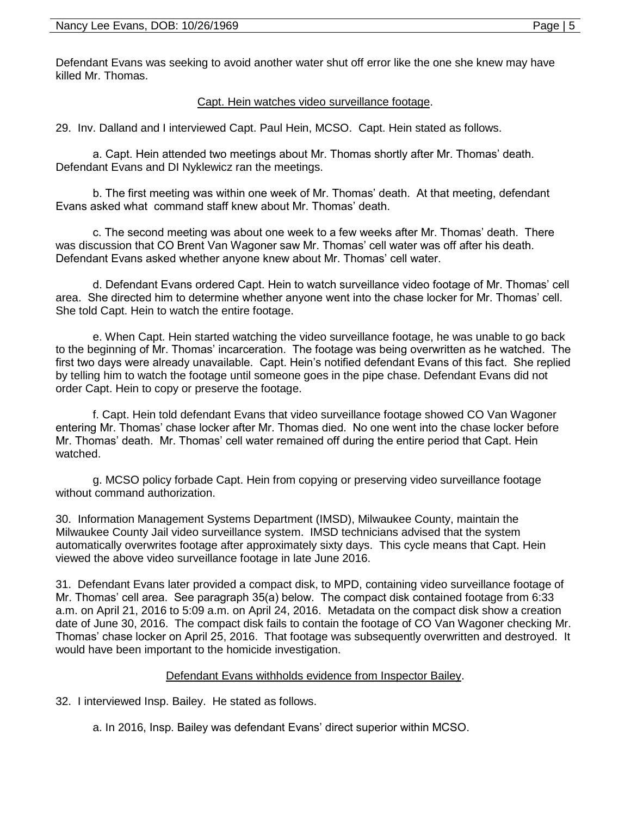Defendant Evans was seeking to avoid another water shut off error like the one she knew may have killed Mr. Thomas.

## Capt. Hein watches video surveillance footage.

29. Inv. Dalland and I interviewed Capt. Paul Hein, MCSO. Capt. Hein stated as follows.

a. Capt. Hein attended two meetings about Mr. Thomas shortly after Mr. Thomas' death. Defendant Evans and DI Nyklewicz ran the meetings.

b. The first meeting was within one week of Mr. Thomas' death. At that meeting, defendant Evans asked what command staff knew about Mr. Thomas' death.

c. The second meeting was about one week to a few weeks after Mr. Thomas' death. There was discussion that CO Brent Van Wagoner saw Mr. Thomas' cell water was off after his death. Defendant Evans asked whether anyone knew about Mr. Thomas' cell water.

d. Defendant Evans ordered Capt. Hein to watch surveillance video footage of Mr. Thomas' cell area. She directed him to determine whether anyone went into the chase locker for Mr. Thomas' cell. She told Capt. Hein to watch the entire footage.

e. When Capt. Hein started watching the video surveillance footage, he was unable to go back to the beginning of Mr. Thomas' incarceration. The footage was being overwritten as he watched. The first two days were already unavailable. Capt. Hein's notified defendant Evans of this fact. She replied by telling him to watch the footage until someone goes in the pipe chase. Defendant Evans did not order Capt. Hein to copy or preserve the footage.

f. Capt. Hein told defendant Evans that video surveillance footage showed CO Van Wagoner entering Mr. Thomas' chase locker after Mr. Thomas died. No one went into the chase locker before Mr. Thomas' death. Mr. Thomas' cell water remained off during the entire period that Capt. Hein watched.

g. MCSO policy forbade Capt. Hein from copying or preserving video surveillance footage without command authorization.

30. Information Management Systems Department (IMSD), Milwaukee County, maintain the Milwaukee County Jail video surveillance system. IMSD technicians advised that the system automatically overwrites footage after approximately sixty days. This cycle means that Capt. Hein viewed the above video surveillance footage in late June 2016.

31. Defendant Evans later provided a compact disk, to MPD, containing video surveillance footage of Mr. Thomas' cell area. See paragraph 35(a) below. The compact disk contained footage from 6:33 a.m. on April 21, 2016 to 5:09 a.m. on April 24, 2016. Metadata on the compact disk show a creation date of June 30, 2016. The compact disk fails to contain the footage of CO Van Wagoner checking Mr. Thomas' chase locker on April 25, 2016. That footage was subsequently overwritten and destroyed. It would have been important to the homicide investigation.

## Defendant Evans withholds evidence from Inspector Bailey.

32. I interviewed Insp. Bailey. He stated as follows.

a. In 2016, Insp. Bailey was defendant Evans' direct superior within MCSO.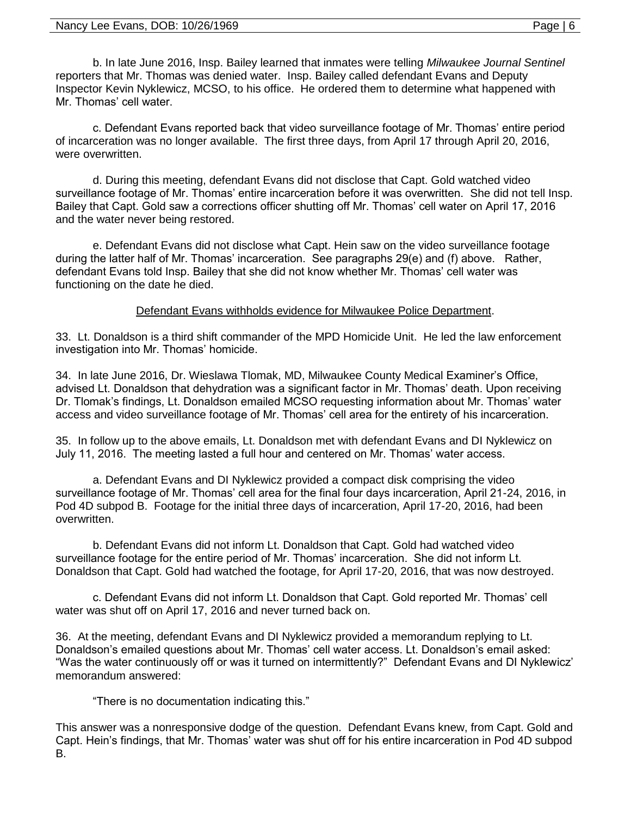b. In late June 2016, Insp. Bailey learned that inmates were telling *Milwaukee Journal Sentinel* reporters that Mr. Thomas was denied water. Insp. Bailey called defendant Evans and Deputy Inspector Kevin Nyklewicz, MCSO, to his office. He ordered them to determine what happened with Mr. Thomas' cell water.

c. Defendant Evans reported back that video surveillance footage of Mr. Thomas' entire period of incarceration was no longer available. The first three days, from April 17 through April 20, 2016, were overwritten.

d. During this meeting, defendant Evans did not disclose that Capt. Gold watched video surveillance footage of Mr. Thomas' entire incarceration before it was overwritten. She did not tell Insp. Bailey that Capt. Gold saw a corrections officer shutting off Mr. Thomas' cell water on April 17, 2016 and the water never being restored.

e. Defendant Evans did not disclose what Capt. Hein saw on the video surveillance footage during the latter half of Mr. Thomas' incarceration. See paragraphs 29(e) and (f) above. Rather, defendant Evans told Insp. Bailey that she did not know whether Mr. Thomas' cell water was functioning on the date he died.

## Defendant Evans withholds evidence for Milwaukee Police Department.

33. Lt. Donaldson is a third shift commander of the MPD Homicide Unit. He led the law enforcement investigation into Mr. Thomas' homicide.

34. In late June 2016, Dr. Wieslawa Tlomak, MD, Milwaukee County Medical Examiner's Office, advised Lt. Donaldson that dehydration was a significant factor in Mr. Thomas' death. Upon receiving Dr. Tlomak's findings, Lt. Donaldson emailed MCSO requesting information about Mr. Thomas' water access and video surveillance footage of Mr. Thomas' cell area for the entirety of his incarceration.

35. In follow up to the above emails, Lt. Donaldson met with defendant Evans and DI Nyklewicz on July 11, 2016. The meeting lasted a full hour and centered on Mr. Thomas' water access.

a. Defendant Evans and DI Nyklewicz provided a compact disk comprising the video surveillance footage of Mr. Thomas' cell area for the final four days incarceration, April 21-24, 2016, in Pod 4D subpod B. Footage for the initial three days of incarceration, April 17-20, 2016, had been overwritten.

b. Defendant Evans did not inform Lt. Donaldson that Capt. Gold had watched video surveillance footage for the entire period of Mr. Thomas' incarceration. She did not inform Lt. Donaldson that Capt. Gold had watched the footage, for April 17-20, 2016, that was now destroyed.

c. Defendant Evans did not inform Lt. Donaldson that Capt. Gold reported Mr. Thomas' cell water was shut off on April 17, 2016 and never turned back on.

36. At the meeting, defendant Evans and DI Nyklewicz provided a memorandum replying to Lt. Donaldson's emailed questions about Mr. Thomas' cell water access. Lt. Donaldson's email asked: "Was the water continuously off or was it turned on intermittently?" Defendant Evans and DI Nyklewicz' memorandum answered:

"There is no documentation indicating this."

This answer was a nonresponsive dodge of the question. Defendant Evans knew, from Capt. Gold and Capt. Hein's findings, that Mr. Thomas' water was shut off for his entire incarceration in Pod 4D subpod B.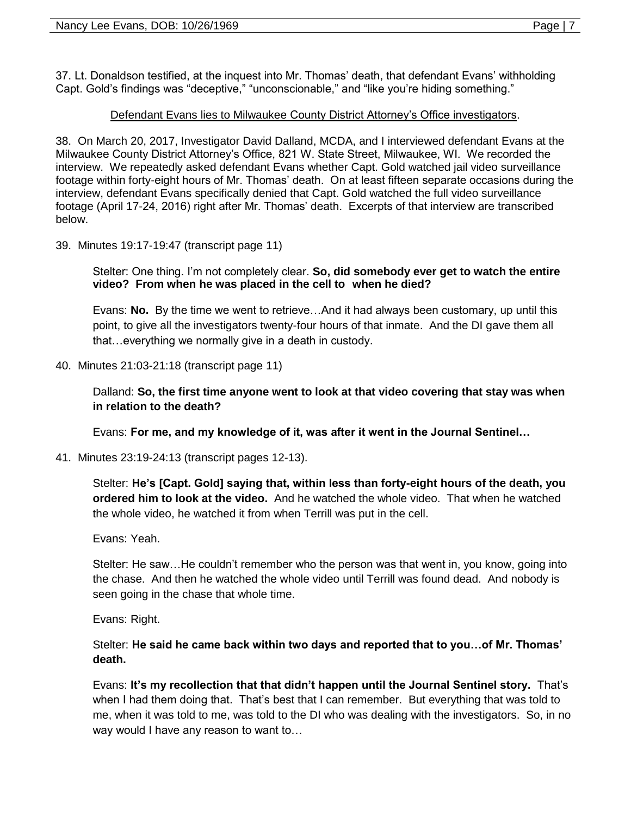37. Lt. Donaldson testified, at the inquest into Mr. Thomas' death, that defendant Evans' withholding Capt. Gold's findings was "deceptive," "unconscionable," and "like you're hiding something."

## Defendant Evans lies to Milwaukee County District Attorney's Office investigators.

38. On March 20, 2017, Investigator David Dalland, MCDA, and I interviewed defendant Evans at the Milwaukee County District Attorney's Office, 821 W. State Street, Milwaukee, WI. We recorded the interview. We repeatedly asked defendant Evans whether Capt. Gold watched jail video surveillance footage within forty-eight hours of Mr. Thomas' death. On at least fifteen separate occasions during the interview, defendant Evans specifically denied that Capt. Gold watched the full video surveillance footage (April 17-24, 2016) right after Mr. Thomas' death. Excerpts of that interview are transcribed below.

39. Minutes 19:17-19:47 (transcript page 11)

Stelter: One thing. I'm not completely clear. **So, did somebody ever get to watch the entire video? From when he was placed in the cell to when he died?**

Evans: **No.** By the time we went to retrieve…And it had always been customary, up until this point, to give all the investigators twenty-four hours of that inmate. And the DI gave them all that…everything we normally give in a death in custody.

40. Minutes 21:03-21:18 (transcript page 11)

Dalland: **So, the first time anyone went to look at that video covering that stay was when in relation to the death?**

Evans: **For me, and my knowledge of it, was after it went in the Journal Sentinel…**

41. Minutes 23:19-24:13 (transcript pages 12-13).

Stelter: **He's [Capt. Gold] saying that, within less than forty-eight hours of the death, you ordered him to look at the video.** And he watched the whole video. That when he watched the whole video, he watched it from when Terrill was put in the cell.

Evans: Yeah.

Stelter: He saw…He couldn't remember who the person was that went in, you know, going into the chase. And then he watched the whole video until Terrill was found dead. And nobody is seen going in the chase that whole time.

Evans: Right.

Stelter: **He said he came back within two days and reported that to you…of Mr. Thomas' death.**

Evans: **It's my recollection that that didn't happen until the Journal Sentinel story.** That's when I had them doing that. That's best that I can remember. But everything that was told to me, when it was told to me, was told to the DI who was dealing with the investigators. So, in no way would I have any reason to want to…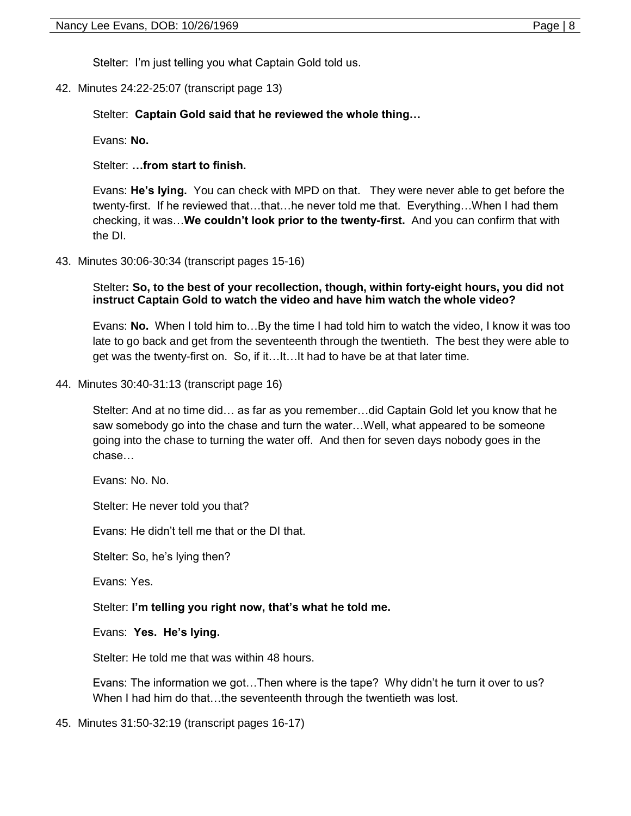42. Minutes 24:22-25:07 (transcript page 13)

## Stelter: **Captain Gold said that he reviewed the whole thing…**

Evans: **No.**

Stelter: **…from start to finish.**

Evans: **He's lying.** You can check with MPD on that. They were never able to get before the twenty-first. If he reviewed that…that…he never told me that. Everything…When I had them checking, it was…**We couldn't look prior to the twenty-first.** And you can confirm that with the DI.

43. Minutes 30:06-30:34 (transcript pages 15-16)

Stelter**: So, to the best of your recollection, though, within forty-eight hours, you did not instruct Captain Gold to watch the video and have him watch the whole video?**

Evans: **No.** When I told him to…By the time I had told him to watch the video, I know it was too late to go back and get from the seventeenth through the twentieth. The best they were able to get was the twenty-first on. So, if it…It…It had to have be at that later time.

44. Minutes 30:40-31:13 (transcript page 16)

Stelter: And at no time did… as far as you remember…did Captain Gold let you know that he saw somebody go into the chase and turn the water…Well, what appeared to be someone going into the chase to turning the water off. And then for seven days nobody goes in the chase…

Evans: No. No.

Stelter: He never told you that?

Evans: He didn't tell me that or the DI that.

Stelter: So, he's lying then?

Evans: Yes.

## Stelter: **I'm telling you right now, that's what he told me.**

Evans: **Yes. He's lying.**

Stelter: He told me that was within 48 hours.

Evans: The information we got…Then where is the tape? Why didn't he turn it over to us? When I had him do that…the seventeenth through the twentieth was lost.

45. Minutes 31:50-32:19 (transcript pages 16-17)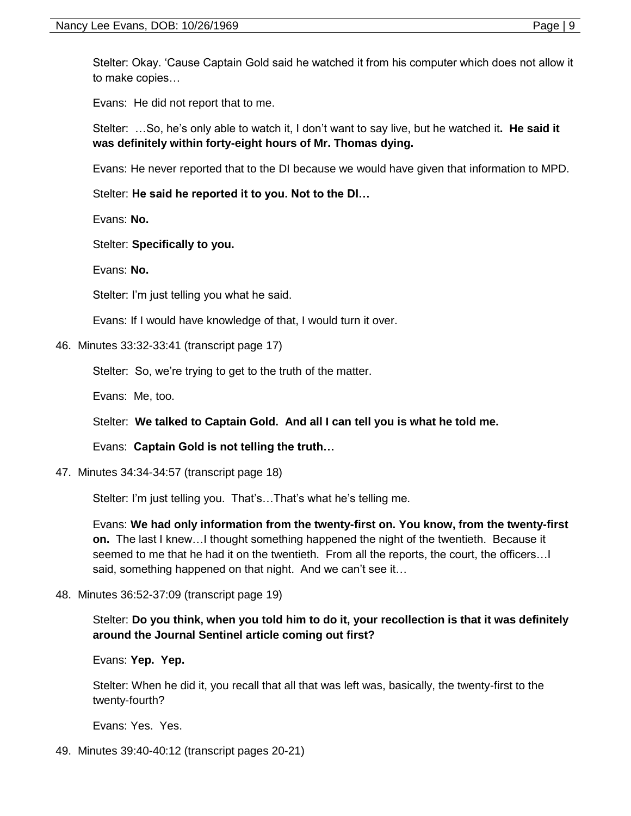Stelter: Okay. 'Cause Captain Gold said he watched it from his computer which does not allow it to make copies…

Evans: He did not report that to me.

Stelter: …So, he's only able to watch it, I don't want to say live, but he watched it**. He said it was definitely within forty-eight hours of Mr. Thomas dying.**

Evans: He never reported that to the DI because we would have given that information to MPD.

Stelter: **He said he reported it to you. Not to the DI…**

Evans: **No.**

Stelter: **Specifically to you.**

Evans: **No.**

Stelter: I'm just telling you what he said.

Evans: If I would have knowledge of that, I would turn it over.

## 46. Minutes 33:32-33:41 (transcript page 17)

Stelter: So, we're trying to get to the truth of the matter.

Evans: Me, too.

Stelter: **We talked to Captain Gold. And all I can tell you is what he told me.**

Evans: **Captain Gold is not telling the truth…**

47. Minutes 34:34-34:57 (transcript page 18)

Stelter: I'm just telling you. That's…That's what he's telling me.

Evans: **We had only information from the twenty-first on. You know, from the twenty-first on.** The last I knew…I thought something happened the night of the twentieth. Because it seemed to me that he had it on the twentieth. From all the reports, the court, the officers... I said, something happened on that night. And we can't see it...

48. Minutes 36:52-37:09 (transcript page 19)

# Stelter: **Do you think, when you told him to do it, your recollection is that it was definitely around the Journal Sentinel article coming out first?**

Evans: **Yep. Yep.** 

Stelter: When he did it, you recall that all that was left was, basically, the twenty-first to the twenty-fourth?

Evans: Yes. Yes.

49. Minutes 39:40-40:12 (transcript pages 20-21)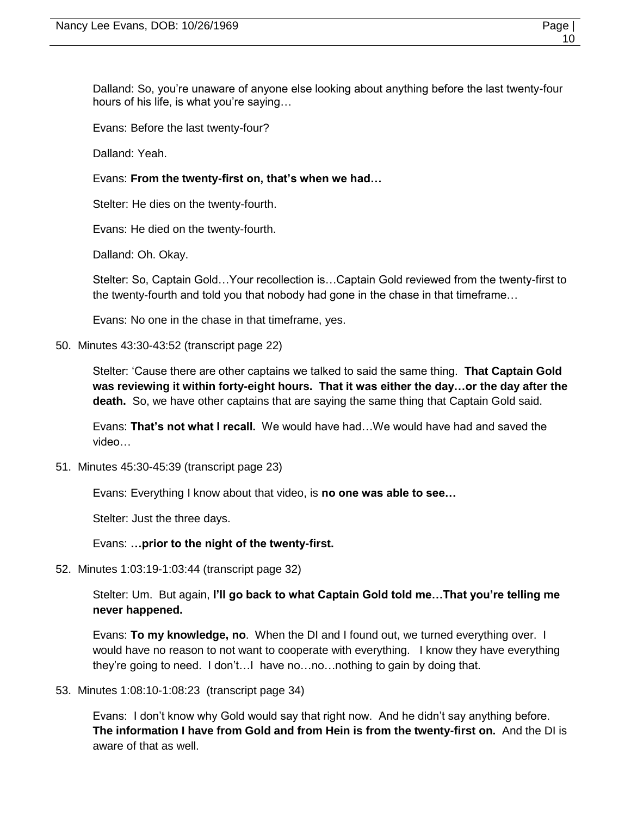Dalland: So, you're unaware of anyone else looking about anything before the last twenty-four hours of his life, is what you're saying…

Evans: Before the last twenty-four?

Dalland: Yeah.

Evans: **From the twenty-first on, that's when we had…**

Stelter: He dies on the twenty-fourth.

Evans: He died on the twenty-fourth.

Dalland: Oh. Okay.

Stelter: So, Captain Gold…Your recollection is…Captain Gold reviewed from the twenty-first to the twenty-fourth and told you that nobody had gone in the chase in that timeframe…

Evans: No one in the chase in that timeframe, yes.

50. Minutes 43:30-43:52 (transcript page 22)

Stelter: 'Cause there are other captains we talked to said the same thing. **That Captain Gold was reviewing it within forty-eight hours. That it was either the day…or the day after the death.** So, we have other captains that are saying the same thing that Captain Gold said.

Evans: **That's not what I recall.** We would have had…We would have had and saved the video…

51. Minutes 45:30-45:39 (transcript page 23)

Evans: Everything I know about that video, is **no one was able to see…**

Stelter: Just the three days.

Evans: **…prior to the night of the twenty-first.**

52. Minutes 1:03:19-1:03:44 (transcript page 32)

Stelter: Um. But again, **I'll go back to what Captain Gold told me…That you're telling me never happened.**

Evans: **To my knowledge, no**. When the DI and I found out, we turned everything over. I would have no reason to not want to cooperate with everything. I know they have everything they're going to need. I don't…I have no…no…nothing to gain by doing that.

53. Minutes 1:08:10-1:08:23 (transcript page 34)

Evans: I don't know why Gold would say that right now. And he didn't say anything before. **The information I have from Gold and from Hein is from the twenty-first on.** And the DI is aware of that as well.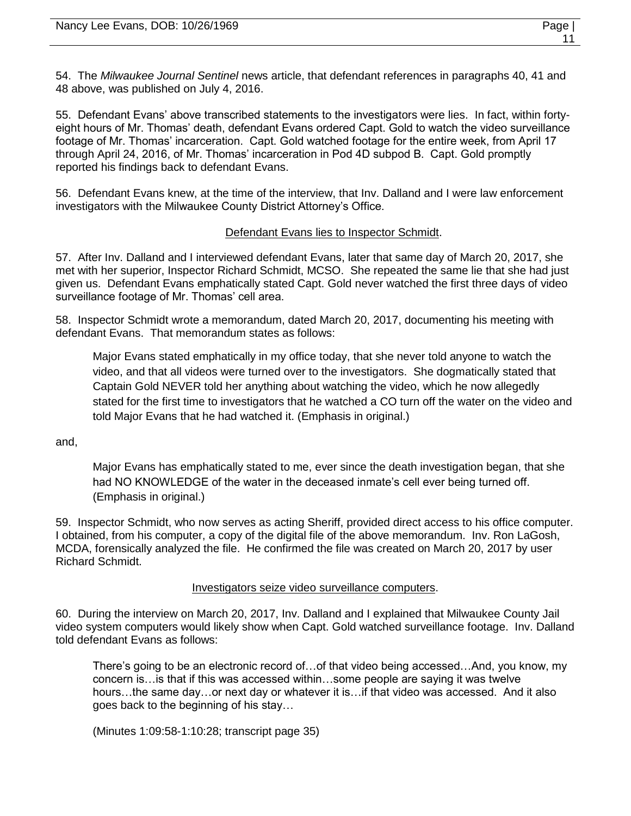54. The *Milwaukee Journal Sentinel* news article, that defendant references in paragraphs 40, 41 and 48 above, was published on July 4, 2016.

55. Defendant Evans' above transcribed statements to the investigators were lies. In fact, within fortyeight hours of Mr. Thomas' death, defendant Evans ordered Capt. Gold to watch the video surveillance footage of Mr. Thomas' incarceration. Capt. Gold watched footage for the entire week, from April 17 through April 24, 2016, of Mr. Thomas' incarceration in Pod 4D subpod B. Capt. Gold promptly reported his findings back to defendant Evans.

56. Defendant Evans knew, at the time of the interview, that Inv. Dalland and I were law enforcement investigators with the Milwaukee County District Attorney's Office.

### Defendant Evans lies to Inspector Schmidt.

57. After Inv. Dalland and I interviewed defendant Evans, later that same day of March 20, 2017, she met with her superior, Inspector Richard Schmidt, MCSO. She repeated the same lie that she had just given us. Defendant Evans emphatically stated Capt. Gold never watched the first three days of video surveillance footage of Mr. Thomas' cell area.

58. Inspector Schmidt wrote a memorandum, dated March 20, 2017, documenting his meeting with defendant Evans. That memorandum states as follows:

Major Evans stated emphatically in my office today, that she never told anyone to watch the video, and that all videos were turned over to the investigators. She dogmatically stated that Captain Gold NEVER told her anything about watching the video, which he now allegedly stated for the first time to investigators that he watched a CO turn off the water on the video and told Major Evans that he had watched it. (Emphasis in original.)

and,

Major Evans has emphatically stated to me, ever since the death investigation began, that she had NO KNOWLEDGE of the water in the deceased inmate's cell ever being turned off. (Emphasis in original.)

59. Inspector Schmidt, who now serves as acting Sheriff, provided direct access to his office computer. I obtained, from his computer, a copy of the digital file of the above memorandum. Inv. Ron LaGosh, MCDA, forensically analyzed the file. He confirmed the file was created on March 20, 2017 by user Richard Schmidt.

### Investigators seize video surveillance computers.

60. During the interview on March 20, 2017, Inv. Dalland and I explained that Milwaukee County Jail video system computers would likely show when Capt. Gold watched surveillance footage. Inv. Dalland told defendant Evans as follows:

There's going to be an electronic record of…of that video being accessed…And, you know, my concern is…is that if this was accessed within…some people are saying it was twelve hours…the same day…or next day or whatever it is…if that video was accessed. And it also goes back to the beginning of his stay…

(Minutes 1:09:58-1:10:28; transcript page 35)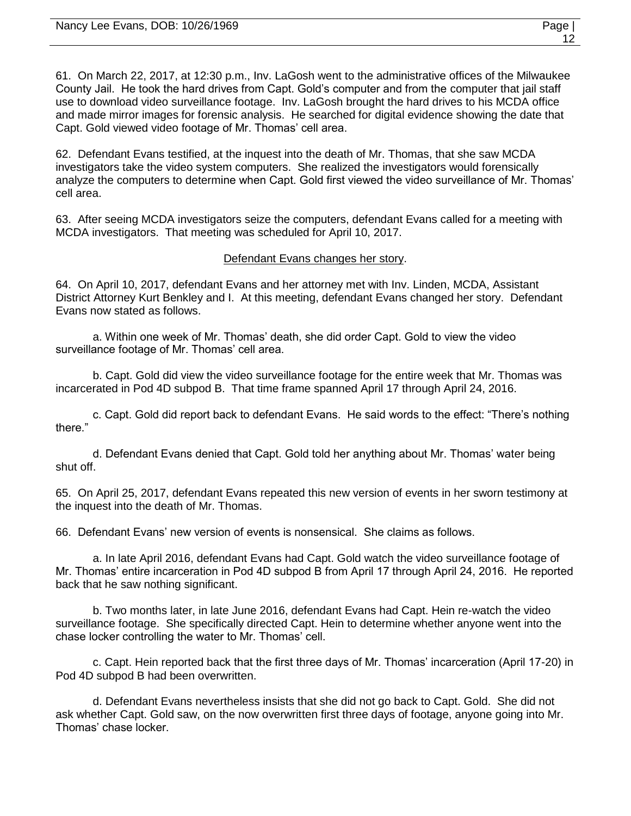61. On March 22, 2017, at 12:30 p.m., Inv. LaGosh went to the administrative offices of the Milwaukee County Jail. He took the hard drives from Capt. Gold's computer and from the computer that jail staff use to download video surveillance footage. Inv. LaGosh brought the hard drives to his MCDA office and made mirror images for forensic analysis. He searched for digital evidence showing the date that Capt. Gold viewed video footage of Mr. Thomas' cell area.

62. Defendant Evans testified, at the inquest into the death of Mr. Thomas, that she saw MCDA investigators take the video system computers. She realized the investigators would forensically analyze the computers to determine when Capt. Gold first viewed the video surveillance of Mr. Thomas' cell area.

63. After seeing MCDA investigators seize the computers, defendant Evans called for a meeting with MCDA investigators. That meeting was scheduled for April 10, 2017.

### Defendant Evans changes her story.

64. On April 10, 2017, defendant Evans and her attorney met with Inv. Linden, MCDA, Assistant District Attorney Kurt Benkley and I. At this meeting, defendant Evans changed her story. Defendant Evans now stated as follows.

a. Within one week of Mr. Thomas' death, she did order Capt. Gold to view the video surveillance footage of Mr. Thomas' cell area.

b. Capt. Gold did view the video surveillance footage for the entire week that Mr. Thomas was incarcerated in Pod 4D subpod B. That time frame spanned April 17 through April 24, 2016.

c. Capt. Gold did report back to defendant Evans. He said words to the effect: "There's nothing there."

d. Defendant Evans denied that Capt. Gold told her anything about Mr. Thomas' water being shut off.

65. On April 25, 2017, defendant Evans repeated this new version of events in her sworn testimony at the inquest into the death of Mr. Thomas.

66. Defendant Evans' new version of events is nonsensical. She claims as follows.

a. In late April 2016, defendant Evans had Capt. Gold watch the video surveillance footage of Mr. Thomas' entire incarceration in Pod 4D subpod B from April 17 through April 24, 2016. He reported back that he saw nothing significant.

b. Two months later, in late June 2016, defendant Evans had Capt. Hein re-watch the video surveillance footage. She specifically directed Capt. Hein to determine whether anyone went into the chase locker controlling the water to Mr. Thomas' cell.

c. Capt. Hein reported back that the first three days of Mr. Thomas' incarceration (April 17-20) in Pod 4D subpod B had been overwritten.

d. Defendant Evans nevertheless insists that she did not go back to Capt. Gold. She did not ask whether Capt. Gold saw, on the now overwritten first three days of footage, anyone going into Mr. Thomas' chase locker.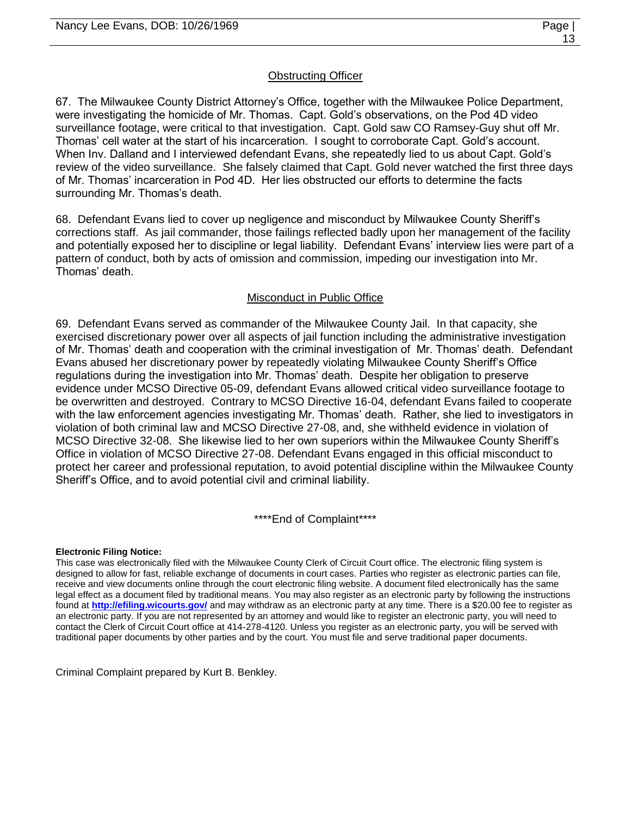## Obstructing Officer

67. The Milwaukee County District Attorney's Office, together with the Milwaukee Police Department, were investigating the homicide of Mr. Thomas. Capt. Gold's observations, on the Pod 4D video surveillance footage, were critical to that investigation. Capt. Gold saw CO Ramsey-Guy shut off Mr. Thomas' cell water at the start of his incarceration. I sought to corroborate Capt. Gold's account. When Inv. Dalland and I interviewed defendant Evans, she repeatedly lied to us about Capt. Gold's review of the video surveillance. She falsely claimed that Capt. Gold never watched the first three days of Mr. Thomas' incarceration in Pod 4D. Her lies obstructed our efforts to determine the facts surrounding Mr. Thomas's death.

68. Defendant Evans lied to cover up negligence and misconduct by Milwaukee County Sheriff's corrections staff. As jail commander, those failings reflected badly upon her management of the facility and potentially exposed her to discipline or legal liability. Defendant Evans' interview lies were part of a pattern of conduct, both by acts of omission and commission, impeding our investigation into Mr. Thomas' death.

## Misconduct in Public Office

69. Defendant Evans served as commander of the Milwaukee County Jail. In that capacity, she exercised discretionary power over all aspects of jail function including the administrative investigation of Mr. Thomas' death and cooperation with the criminal investigation of Mr. Thomas' death. Defendant Evans abused her discretionary power by repeatedly violating Milwaukee County Sheriff's Office regulations during the investigation into Mr. Thomas' death. Despite her obligation to preserve evidence under MCSO Directive 05-09, defendant Evans allowed critical video surveillance footage to be overwritten and destroyed. Contrary to MCSO Directive 16-04, defendant Evans failed to cooperate with the law enforcement agencies investigating Mr. Thomas' death. Rather, she lied to investigators in violation of both criminal law and MCSO Directive 27-08, and, she withheld evidence in violation of MCSO Directive 32-08. She likewise lied to her own superiors within the Milwaukee County Sheriff's Office in violation of MCSO Directive 27-08. Defendant Evans engaged in this official misconduct to protect her career and professional reputation, to avoid potential discipline within the Milwaukee County Sheriff's Office, and to avoid potential civil and criminal liability.

\*\*\*\*End of Complaint\*\*\*\*

#### **Electronic Filing Notice:**

This case was electronically filed with the Milwaukee County Clerk of Circuit Court office. The electronic filing system is designed to allow for fast, reliable exchange of documents in court cases. Parties who register as electronic parties can file, receive and view documents online through the court electronic filing website. A document filed electronically has the same legal effect as a document filed by traditional means. You may also register as an electronic party by following the instructions found at **<http://efiling.wicourts.gov/>** and may withdraw as an electronic party at any time. There is a \$20.00 fee to register as an electronic party. If you are not represented by an attorney and would like to register an electronic party, you will need to contact the Clerk of Circuit Court office at 414-278-4120. Unless you register as an electronic party, you will be served with traditional paper documents by other parties and by the court. You must file and serve traditional paper documents.

Criminal Complaint prepared by Kurt B. Benkley.